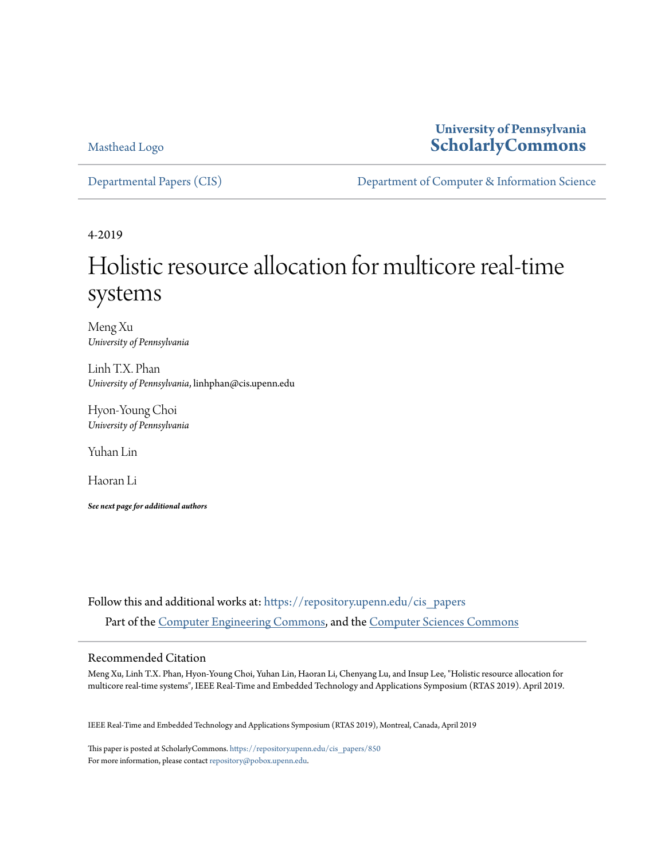Masthead Logo

## **University of Pennsylvania [ScholarlyCommons](https://repository.upenn.edu?utm_source=repository.upenn.edu%2Fcis_papers%2F850&utm_medium=PDF&utm_campaign=PDFCoverPages)**

[Departmental Papers \(CIS\)](https://repository.upenn.edu/cis_papers?utm_source=repository.upenn.edu%2Fcis_papers%2F850&utm_medium=PDF&utm_campaign=PDFCoverPages) [Department of Computer & Information Science](https://repository.upenn.edu/cis?utm_source=repository.upenn.edu%2Fcis_papers%2F850&utm_medium=PDF&utm_campaign=PDFCoverPages)

4-2019

# Holistic resource allocation for multicore real-time systems

Meng Xu *University of Pennsylvania*

Linh T.X. Phan *University of Pennsylvania*, linhphan@cis.upenn.edu

Hyon-Young Choi *University of Pennsylvania*

Yuhan Lin

Haoran Li

*See next page for additional authors*

Follow this and additional works at: [https://repository.upenn.edu/cis\\_papers](https://repository.upenn.edu/cis_papers?utm_source=repository.upenn.edu%2Fcis_papers%2F850&utm_medium=PDF&utm_campaign=PDFCoverPages) Part of the [Computer Engineering Commons,](http://network.bepress.com/hgg/discipline/258?utm_source=repository.upenn.edu%2Fcis_papers%2F850&utm_medium=PDF&utm_campaign=PDFCoverPages) and the [Computer Sciences Commons](http://network.bepress.com/hgg/discipline/142?utm_source=repository.upenn.edu%2Fcis_papers%2F850&utm_medium=PDF&utm_campaign=PDFCoverPages)

## Recommended Citation

Meng Xu, Linh T.X. Phan, Hyon-Young Choi, Yuhan Lin, Haoran Li, Chenyang Lu, and Insup Lee, "Holistic resource allocation for multicore real-time systems", IEEE Real-Time and Embedded Technology and Applications Symposium (RTAS 2019). April 2019.

IEEE Real-Time and Embedded Technology and Applications Symposium (RTAS 2019), Montreal, Canada, April 2019

This paper is posted at ScholarlyCommons. [https://repository.upenn.edu/cis\\_papers/850](https://repository.upenn.edu/cis_papers/850) For more information, please contact [repository@pobox.upenn.edu.](mailto:repository@pobox.upenn.edu)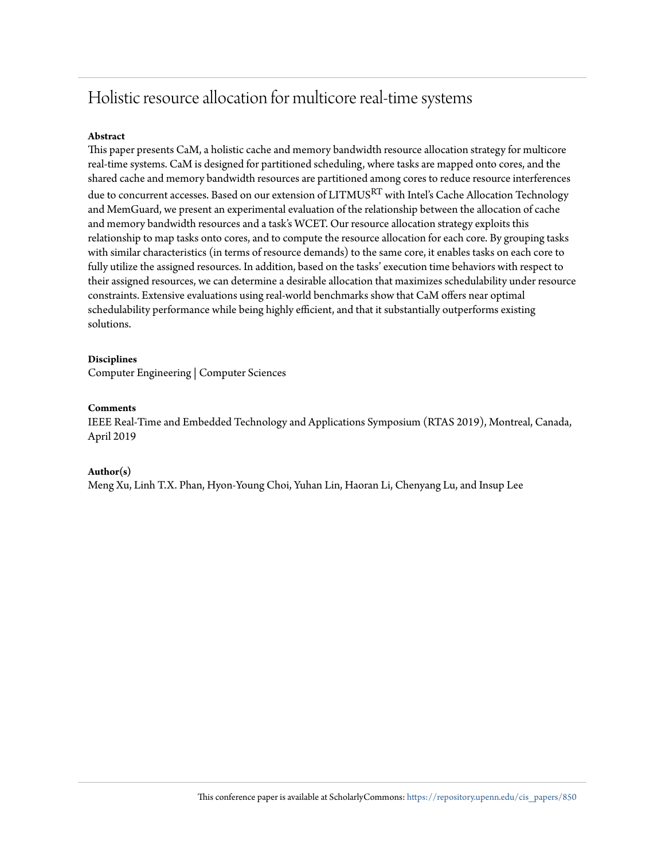## Holistic resource allocation for multicore real-time systems

## **Abstract**

This paper presents CaM, a holistic cache and memory bandwidth resource allocation strategy for multicore real-time systems. CaM is designed for partitioned scheduling, where tasks are mapped onto cores, and the shared cache and memory bandwidth resources are partitioned among cores to reduce resource interferences due to concurrent accesses. Based on our extension of LITMUS $^{\mathrm{RT}}$  with Intel's Cache Allocation Technology and MemGuard, we present an experimental evaluation of the relationship between the allocation of cache and memory bandwidth resources and a task's WCET. Our resource allocation strategy exploits this relationship to map tasks onto cores, and to compute the resource allocation for each core. By grouping tasks with similar characteristics (in terms of resource demands) to the same core, it enables tasks on each core to fully utilize the assigned resources. In addition, based on the tasks' execution time behaviors with respect to their assigned resources, we can determine a desirable allocation that maximizes schedulability under resource constraints. Extensive evaluations using real-world benchmarks show that CaM offers near optimal schedulability performance while being highly efficient, and that it substantially outperforms existing solutions.

## **Disciplines**

Computer Engineering | Computer Sciences

## **Comments**

IEEE Real-Time and Embedded Technology and Applications Symposium (RTAS 2019), Montreal, Canada, April 2019

## **Author(s)**

Meng Xu, Linh T.X. Phan, Hyon-Young Choi, Yuhan Lin, Haoran Li, Chenyang Lu, and Insup Lee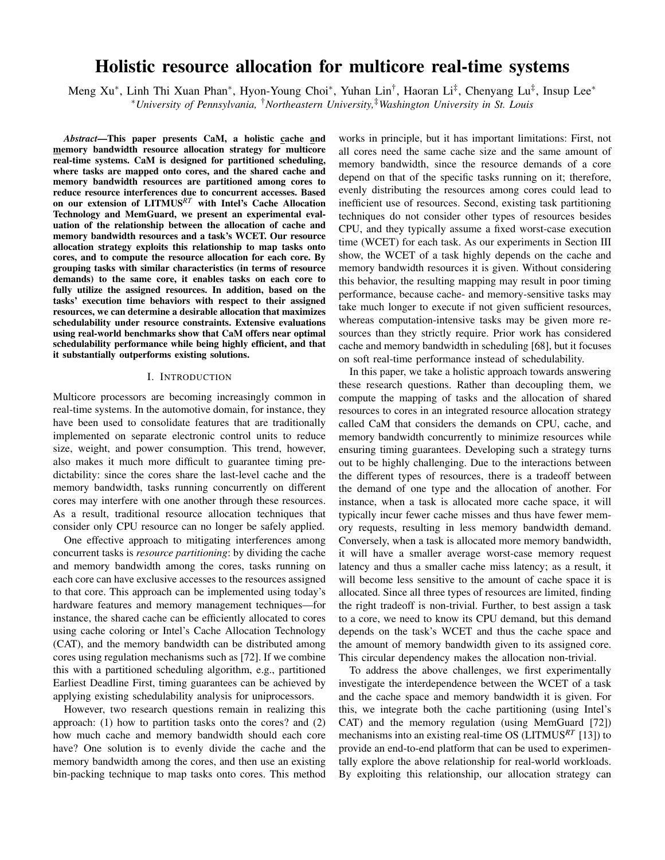## Holistic resource allocation for multicore real-time systems

Meng Xu\*, Linh Thi Xuan Phan\*, Hyon-Young Choi\*, Yuhan Lin<sup>†</sup>, Haoran Li<sup>‡</sup>, Chenyang Lu<sup>‡</sup>, Insup Lee\* <sup>∗</sup>*University of Pennsylvania,* †*Northeastern University,*‡*Washington University in St. Louis*

*Abstract*—This paper presents CaM, a holistic cache and memory bandwidth resource allocation strategy for multicore real-time systems. CaM is designed for partitioned scheduling, where tasks are mapped onto cores, and the shared cache and memory bandwidth resources are partitioned among cores to reduce resource interferences due to concurrent accesses. Based on our extension of LITMUS*RT* with Intel's Cache Allocation Technology and MemGuard, we present an experimental evaluation of the relationship between the allocation of cache and memory bandwidth resources and a task's WCET. Our resource allocation strategy exploits this relationship to map tasks onto cores, and to compute the resource allocation for each core. By grouping tasks with similar characteristics (in terms of resource demands) to the same core, it enables tasks on each core to fully utilize the assigned resources. In addition, based on the tasks' execution time behaviors with respect to their assigned resources, we can determine a desirable allocation that maximizes schedulability under resource constraints. Extensive evaluations using real-world benchmarks show that CaM offers near optimal schedulability performance while being highly efficient, and that it substantially outperforms existing solutions.

#### I. INTRODUCTION

Multicore processors are becoming increasingly common in real-time systems. In the automotive domain, for instance, they have been used to consolidate features that are traditionally implemented on separate electronic control units to reduce size, weight, and power consumption. This trend, however, also makes it much more difficult to guarantee timing predictability: since the cores share the last-level cache and the memory bandwidth, tasks running concurrently on different cores may interfere with one another through these resources. As a result, traditional resource allocation techniques that consider only CPU resource can no longer be safely applied.

One effective approach to mitigating interferences among concurrent tasks is *resource partitioning*: by dividing the cache and memory bandwidth among the cores, tasks running on each core can have exclusive accesses to the resources assigned to that core. This approach can be implemented using today's hardware features and memory management techniques—for instance, the shared cache can be efficiently allocated to cores using cache coloring or Intel's Cache Allocation Technology (CAT), and the memory bandwidth can be distributed among cores using regulation mechanisms such as [72]. If we combine this with a partitioned scheduling algorithm, e.g., partitioned Earliest Deadline First, timing guarantees can be achieved by applying existing schedulability analysis for uniprocessors.

However, two research questions remain in realizing this approach: (1) how to partition tasks onto the cores? and (2) how much cache and memory bandwidth should each core have? One solution is to evenly divide the cache and the memory bandwidth among the cores, and then use an existing bin-packing technique to map tasks onto cores. This method works in principle, but it has important limitations: First, not all cores need the same cache size and the same amount of memory bandwidth, since the resource demands of a core depend on that of the specific tasks running on it; therefore, evenly distributing the resources among cores could lead to inefficient use of resources. Second, existing task partitioning techniques do not consider other types of resources besides CPU, and they typically assume a fixed worst-case execution time (WCET) for each task. As our experiments in Section III show, the WCET of a task highly depends on the cache and memory bandwidth resources it is given. Without considering this behavior, the resulting mapping may result in poor timing performance, because cache- and memory-sensitive tasks may take much longer to execute if not given sufficient resources, whereas computation-intensive tasks may be given more resources than they strictly require. Prior work has considered cache and memory bandwidth in scheduling [68], but it focuses on soft real-time performance instead of schedulability.

In this paper, we take a holistic approach towards answering these research questions. Rather than decoupling them, we compute the mapping of tasks and the allocation of shared resources to cores in an integrated resource allocation strategy called CaM that considers the demands on CPU, cache, and memory bandwidth concurrently to minimize resources while ensuring timing guarantees. Developing such a strategy turns out to be highly challenging. Due to the interactions between the different types of resources, there is a tradeoff between the demand of one type and the allocation of another. For instance, when a task is allocated more cache space, it will typically incur fewer cache misses and thus have fewer memory requests, resulting in less memory bandwidth demand. Conversely, when a task is allocated more memory bandwidth, it will have a smaller average worst-case memory request latency and thus a smaller cache miss latency; as a result, it will become less sensitive to the amount of cache space it is allocated. Since all three types of resources are limited, finding the right tradeoff is non-trivial. Further, to best assign a task to a core, we need to know its CPU demand, but this demand depends on the task's WCET and thus the cache space and the amount of memory bandwidth given to its assigned core. This circular dependency makes the allocation non-trivial.

To address the above challenges, we first experimentally investigate the interdependence between the WCET of a task and the cache space and memory bandwidth it is given. For this, we integrate both the cache partitioning (using Intel's CAT) and the memory regulation (using MemGuard [72]) mechanisms into an existing real-time OS (LITMUS*RT* [13]) to provide an end-to-end platform that can be used to experimentally explore the above relationship for real-world workloads. By exploiting this relationship, our allocation strategy can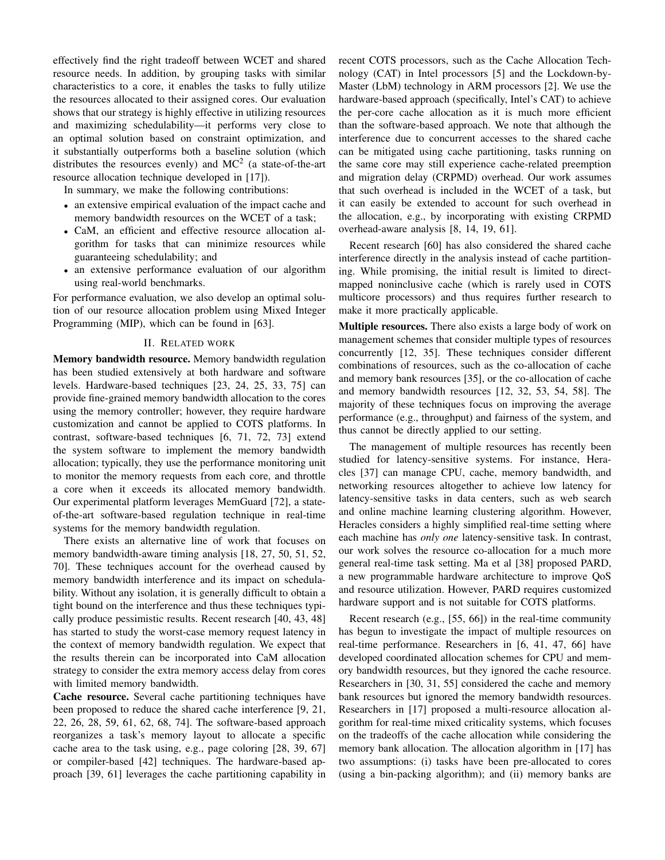effectively find the right tradeoff between WCET and shared resource needs. In addition, by grouping tasks with similar characteristics to a core, it enables the tasks to fully utilize the resources allocated to their assigned cores. Our evaluation shows that our strategy is highly effective in utilizing resources and maximizing schedulability—it performs very close to an optimal solution based on constraint optimization, and it substantially outperforms both a baseline solution (which distributes the resources evenly) and  $MC^2$  (a state-of-the-art resource allocation technique developed in [17]).

In summary, we make the following contributions:

- an extensive empirical evaluation of the impact cache and memory bandwidth resources on the WCET of a task;
- CaM, an efficient and effective resource allocation algorithm for tasks that can minimize resources while guaranteeing schedulability; and
- an extensive performance evaluation of our algorithm using real-world benchmarks.

For performance evaluation, we also develop an optimal solution of our resource allocation problem using Mixed Integer Programming (MIP), which can be found in [63].

#### II. RELATED WORK

Memory bandwidth resource. Memory bandwidth regulation has been studied extensively at both hardware and software levels. Hardware-based techniques [23, 24, 25, 33, 75] can provide fine-grained memory bandwidth allocation to the cores using the memory controller; however, they require hardware customization and cannot be applied to COTS platforms. In contrast, software-based techniques [6, 71, 72, 73] extend the system software to implement the memory bandwidth allocation; typically, they use the performance monitoring unit to monitor the memory requests from each core, and throttle a core when it exceeds its allocated memory bandwidth. Our experimental platform leverages MemGuard [72], a stateof-the-art software-based regulation technique in real-time systems for the memory bandwidth regulation.

There exists an alternative line of work that focuses on memory bandwidth-aware timing analysis [18, 27, 50, 51, 52, 70]. These techniques account for the overhead caused by memory bandwidth interference and its impact on schedulability. Without any isolation, it is generally difficult to obtain a tight bound on the interference and thus these techniques typically produce pessimistic results. Recent research [40, 43, 48] has started to study the worst-case memory request latency in the context of memory bandwidth regulation. We expect that the results therein can be incorporated into CaM allocation strategy to consider the extra memory access delay from cores with limited memory bandwidth.

Cache resource. Several cache partitioning techniques have been proposed to reduce the shared cache interference [9, 21, 22, 26, 28, 59, 61, 62, 68, 74]. The software-based approach reorganizes a task's memory layout to allocate a specific cache area to the task using, e.g., page coloring [28, 39, 67] or compiler-based [42] techniques. The hardware-based approach [39, 61] leverages the cache partitioning capability in recent COTS processors, such as the Cache Allocation Technology (CAT) in Intel processors [5] and the Lockdown-by-Master (LbM) technology in ARM processors [2]. We use the hardware-based approach (specifically, Intel's CAT) to achieve the per-core cache allocation as it is much more efficient than the software-based approach. We note that although the interference due to concurrent accesses to the shared cache can be mitigated using cache partitioning, tasks running on the same core may still experience cache-related preemption and migration delay (CRPMD) overhead. Our work assumes that such overhead is included in the WCET of a task, but it can easily be extended to account for such overhead in the allocation, e.g., by incorporating with existing CRPMD overhead-aware analysis [8, 14, 19, 61].

Recent research [60] has also considered the shared cache interference directly in the analysis instead of cache partitioning. While promising, the initial result is limited to directmapped noninclusive cache (which is rarely used in COTS multicore processors) and thus requires further research to make it more practically applicable.

**Multiple resources.** There also exists a large body of work on management schemes that consider multiple types of resources concurrently [12, 35]. These techniques consider different combinations of resources, such as the co-allocation of cache and memory bank resources [35], or the co-allocation of cache and memory bandwidth resources [12, 32, 53, 54, 58]. The majority of these techniques focus on improving the average performance (e.g., throughput) and fairness of the system, and thus cannot be directly applied to our setting.

The management of multiple resources has recently been studied for latency-sensitive systems. For instance, Heracles [37] can manage CPU, cache, memory bandwidth, and networking resources altogether to achieve low latency for latency-sensitive tasks in data centers, such as web search and online machine learning clustering algorithm. However, Heracles considers a highly simplified real-time setting where each machine has *only one* latency-sensitive task. In contrast, our work solves the resource co-allocation for a much more general real-time task setting. Ma et al [38] proposed PARD, a new programmable hardware architecture to improve QoS and resource utilization. However, PARD requires customized hardware support and is not suitable for COTS platforms.

Recent research (e.g., [55, 66]) in the real-time community has begun to investigate the impact of multiple resources on real-time performance. Researchers in [6, 41, 47, 66] have developed coordinated allocation schemes for CPU and memory bandwidth resources, but they ignored the cache resource. Researchers in [30, 31, 55] considered the cache and memory bank resources but ignored the memory bandwidth resources. Researchers in [17] proposed a multi-resource allocation algorithm for real-time mixed criticality systems, which focuses on the tradeoffs of the cache allocation while considering the memory bank allocation. The allocation algorithm in [17] has two assumptions: (i) tasks have been pre-allocated to cores (using a bin-packing algorithm); and (ii) memory banks are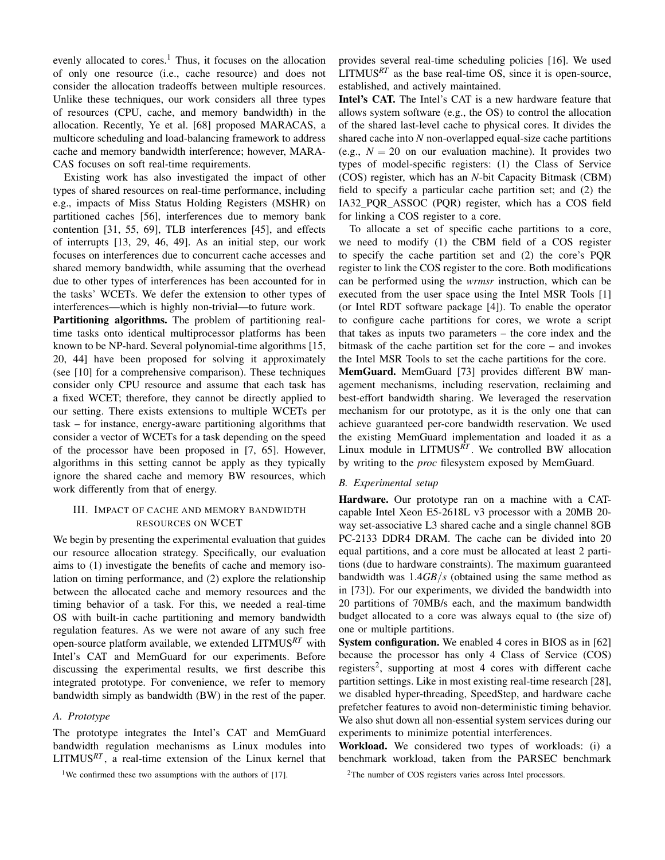evenly allocated to cores.<sup>1</sup> Thus, it focuses on the allocation of only one resource (i.e., cache resource) and does not consider the allocation tradeoffs between multiple resources. Unlike these techniques, our work considers all three types of resources (CPU, cache, and memory bandwidth) in the allocation. Recently, Ye et al. [68] proposed MARACAS, a multicore scheduling and load-balancing framework to address cache and memory bandwidth interference; however, MARA-CAS focuses on soft real-time requirements.

Existing work has also investigated the impact of other types of shared resources on real-time performance, including e.g., impacts of Miss Status Holding Registers (MSHR) on partitioned caches [56], interferences due to memory bank contention [31, 55, 69], TLB interferences [45], and effects of interrupts [13, 29, 46, 49]. As an initial step, our work focuses on interferences due to concurrent cache accesses and shared memory bandwidth, while assuming that the overhead due to other types of interferences has been accounted for in the tasks' WCETs. We defer the extension to other types of interferences—which is highly non-trivial—to future work.

Partitioning algorithms. The problem of partitioning realtime tasks onto identical multiprocessor platforms has been known to be NP-hard. Several polynomial-time algorithms [15, 20, 44] have been proposed for solving it approximately (see [10] for a comprehensive comparison). These techniques consider only CPU resource and assume that each task has a fixed WCET; therefore, they cannot be directly applied to our setting. There exists extensions to multiple WCETs per task – for instance, energy-aware partitioning algorithms that consider a vector of WCETs for a task depending on the speed of the processor have been proposed in [7, 65]. However, algorithms in this setting cannot be apply as they typically ignore the shared cache and memory BW resources, which work differently from that of energy.

#### III. IMPACT OF CACHE AND MEMORY BANDWIDTH RESOURCES ON WCET

We begin by presenting the experimental evaluation that guides our resource allocation strategy. Specifically, our evaluation aims to (1) investigate the benefits of cache and memory isolation on timing performance, and (2) explore the relationship between the allocated cache and memory resources and the timing behavior of a task. For this, we needed a real-time OS with built-in cache partitioning and memory bandwidth regulation features. As we were not aware of any such free open-source platform available, we extended LITMUS*RT* with Intel's CAT and MemGuard for our experiments. Before discussing the experimental results, we first describe this integrated prototype. For convenience, we refer to memory bandwidth simply as bandwidth (BW) in the rest of the paper.

#### *A. Prototype*

The prototype integrates the Intel's CAT and MemGuard bandwidth regulation mechanisms as Linux modules into LITMUS*RT* , a real-time extension of the Linux kernel that

<sup>1</sup>We confirmed these two assumptions with the authors of  $[17]$ .

provides several real-time scheduling policies [16]. We used LITMUS<sup>RT</sup> as the base real-time OS, since it is open-source, established, and actively maintained.

Intel's CAT. The Intel's CAT is a new hardware feature that allows system software (e.g., the OS) to control the allocation of the shared last-level cache to physical cores. It divides the shared cache into *N* non-overlapped equal-size cache partitions (e.g.,  $N = 20$  on our evaluation machine). It provides two types of model-specific registers: (1) the Class of Service (COS) register, which has an *N*-bit Capacity Bitmask (CBM) field to specify a particular cache partition set; and (2) the IA32 PQR ASSOC (PQR) register, which has a COS field for linking a COS register to a core.

To allocate a set of specific cache partitions to a core, we need to modify (1) the CBM field of a COS register to specify the cache partition set and (2) the core's PQR register to link the COS register to the core. Both modifications can be performed using the *wrmsr* instruction, which can be executed from the user space using the Intel MSR Tools [1] (or Intel RDT software package [4]). To enable the operator to configure cache partitions for cores, we wrote a script that takes as inputs two parameters – the core index and the bitmask of the cache partition set for the core – and invokes the Intel MSR Tools to set the cache partitions for the core. MemGuard. MemGuard [73] provides different BW management mechanisms, including reservation, reclaiming and best-effort bandwidth sharing. We leveraged the reservation mechanism for our prototype, as it is the only one that can achieve guaranteed per-core bandwidth reservation. We used the existing MemGuard implementation and loaded it as a Linux module in LITMUS*RT* . We controlled BW allocation by writing to the *proc* filesystem exposed by MemGuard.

#### *B. Experimental setup*

Hardware. Our prototype ran on a machine with a CATcapable Intel Xeon E5-2618L v3 processor with a 20MB 20 way set-associative L3 shared cache and a single channel 8GB PC-2133 DDR4 DRAM. The cache can be divided into 20 equal partitions, and a core must be allocated at least 2 partitions (due to hardware constraints). The maximum guaranteed bandwidth was 1.4*GB*/*s* (obtained using the same method as in [73]). For our experiments, we divided the bandwidth into 20 partitions of 70MB/s each, and the maximum bandwidth budget allocated to a core was always equal to (the size of) one or multiple partitions.

System configuration. We enabled 4 cores in BIOS as in [62] because the processor has only 4 Class of Service (COS) registers<sup>2</sup>, supporting at most 4 cores with different cache partition settings. Like in most existing real-time research [28], we disabled hyper-threading, SpeedStep, and hardware cache prefetcher features to avoid non-deterministic timing behavior. We also shut down all non-essential system services during our experiments to minimize potential interferences.

Workload. We considered two types of workloads: (i) a benchmark workload, taken from the PARSEC benchmark

<sup>2</sup>The number of COS registers varies across Intel processors.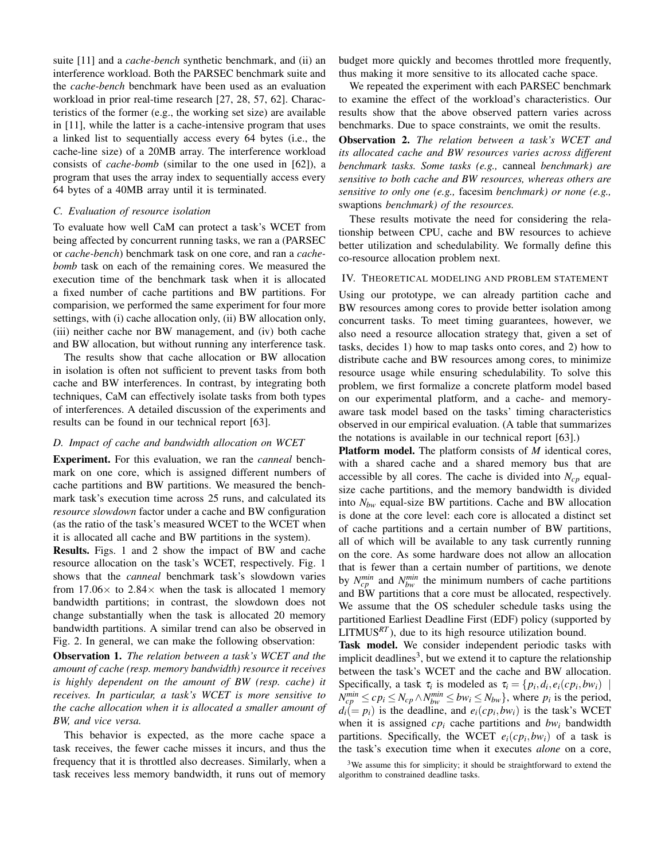suite [11] and a *cache-bench* synthetic benchmark, and (ii) an interference workload. Both the PARSEC benchmark suite and the *cache-bench* benchmark have been used as an evaluation workload in prior real-time research [27, 28, 57, 62]. Characteristics of the former (e.g., the working set size) are available in [11], while the latter is a cache-intensive program that uses a linked list to sequentially access every 64 bytes (i.e., the cache-line size) of a 20MB array. The interference workload consists of *cache-bomb* (similar to the one used in [62]), a program that uses the array index to sequentially access every 64 bytes of a 40MB array until it is terminated.

#### *C. Evaluation of resource isolation*

To evaluate how well CaM can protect a task's WCET from being affected by concurrent running tasks, we ran a (PARSEC or *cache-bench*) benchmark task on one core, and ran a *cachebomb* task on each of the remaining cores. We measured the execution time of the benchmark task when it is allocated a fixed number of cache partitions and BW partitions. For comparision, we performed the same experiment for four more settings, with (i) cache allocation only, (ii) BW allocation only, (iii) neither cache nor BW management, and (iv) both cache and BW allocation, but without running any interference task.

The results show that cache allocation or BW allocation in isolation is often not sufficient to prevent tasks from both cache and BW interferences. In contrast, by integrating both techniques, CaM can effectively isolate tasks from both types of interferences. A detailed discussion of the experiments and results can be found in our technical report [63].

#### *D. Impact of cache and bandwidth allocation on WCET*

Experiment. For this evaluation, we ran the *canneal* benchmark on one core, which is assigned different numbers of cache partitions and BW partitions. We measured the benchmark task's execution time across 25 runs, and calculated its *resource slowdown* factor under a cache and BW configuration (as the ratio of the task's measured WCET to the WCET when it is allocated all cache and BW partitions in the system).

Results. Figs. 1 and 2 show the impact of BW and cache resource allocation on the task's WCET, respectively. Fig. 1 shows that the *canneal* benchmark task's slowdown varies from  $17.06\times$  to  $2.84\times$  when the task is allocated 1 memory bandwidth partitions; in contrast, the slowdown does not change substantially when the task is allocated 20 memory bandwidth partitions. A similar trend can also be observed in Fig. 2. In general, we can make the following observation:

Observation 1. *The relation between a task's WCET and the amount of cache (resp. memory bandwidth) resource it receives is highly dependent on the amount of BW (resp. cache) it receives. In particular, a task's WCET is more sensitive to the cache allocation when it is allocated a smaller amount of BW, and vice versa.*

This behavior is expected, as the more cache space a task receives, the fewer cache misses it incurs, and thus the frequency that it is throttled also decreases. Similarly, when a task receives less memory bandwidth, it runs out of memory budget more quickly and becomes throttled more frequently, thus making it more sensitive to its allocated cache space.

We repeated the experiment with each PARSEC benchmark to examine the effect of the workload's characteristics. Our results show that the above observed pattern varies across benchmarks. Due to space constraints, we omit the results.

Observation 2. *The relation between a task's WCET and its allocated cache and BW resources varies across different benchmark tasks. Some tasks (e.g.,* canneal *benchmark) are sensitive to both cache and BW resources, whereas others are sensitive to only one (e.g.,* facesim *benchmark) or none (e.g.,* swaptions *benchmark) of the resources.*

These results motivate the need for considering the relationship between CPU, cache and BW resources to achieve better utilization and schedulability. We formally define this co-resource allocation problem next.

#### IV. THEORETICAL MODELING AND PROBLEM STATEMENT

Using our prototype, we can already partition cache and BW resources among cores to provide better isolation among concurrent tasks. To meet timing guarantees, however, we also need a resource allocation strategy that, given a set of tasks, decides 1) how to map tasks onto cores, and 2) how to distribute cache and BW resources among cores, to minimize resource usage while ensuring schedulability. To solve this problem, we first formalize a concrete platform model based on our experimental platform, and a cache- and memoryaware task model based on the tasks' timing characteristics observed in our empirical evaluation. (A table that summarizes the notations is available in our technical report [63].)

Platform model. The platform consists of *M* identical cores, with a shared cache and a shared memory bus that are accessible by all cores. The cache is divided into  $N_{cp}$  equalsize cache partitions, and the memory bandwidth is divided into *Nbw* equal-size BW partitions. Cache and BW allocation is done at the core level: each core is allocated a distinct set of cache partitions and a certain number of BW partitions, all of which will be available to any task currently running on the core. As some hardware does not allow an allocation that is fewer than a certain number of partitions, we denote by  $N_{cp}^{min}$  and  $N_{bw}^{min}$  the minimum numbers of cache partitions and BW partitions that a core must be allocated, respectively. We assume that the OS scheduler schedule tasks using the partitioned Earliest Deadline First (EDF) policy (supported by LITMUS<sup>RT</sup>), due to its high resource utilization bound.

Task model. We consider independent periodic tasks with implicit deadlines<sup>3</sup>, but we extend it to capture the relationship between the task's WCET and the cache and BW allocation. Specifically, a task  $\tau_i$  is modeled as  $\tau_i = \{p_i, d_i, e_i(c p_i, b w_i) \mid$  $N_{cp}^{min} \leq cp_i \leq N_{cp} \wedge N_{bw}^{min} \leq bw_i \leq N_{bw}$ , where  $p_i$  is the period,  $d_i (= p_i)$  is the deadline, and  $e_i(c p_i, b w_i)$  is the task's WCET when it is assigned  $cp_i$  cache partitions and  $bw_i$  bandwidth partitions. Specifically, the WCET  $e_i(c p_i, b w_i)$  of a task is the task's execution time when it executes *alone* on a core,

 $3$ We assume this for simplicity; it should be straightforward to extend the algorithm to constrained deadline tasks.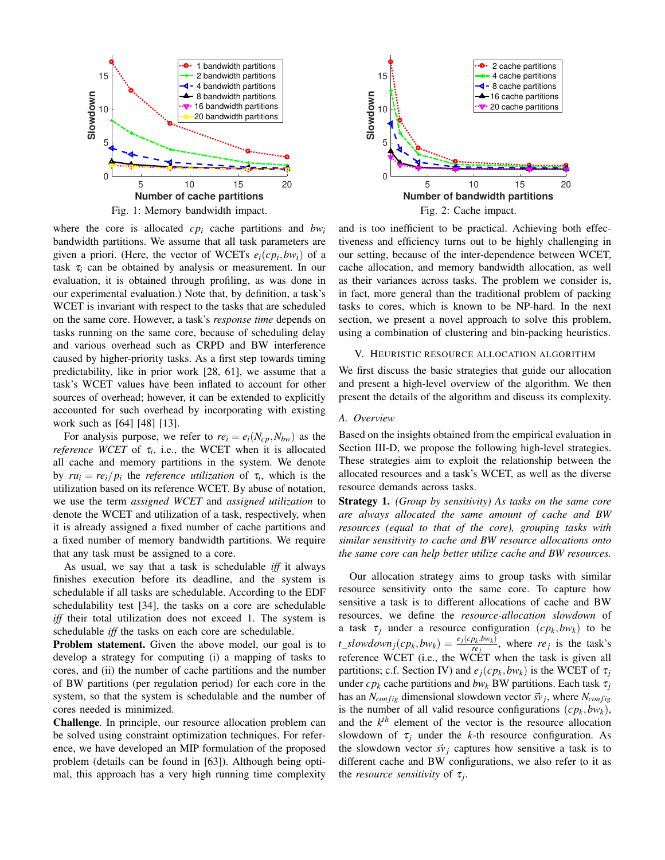

Fig. 1: Memory bandwidth impact.

where the core is allocated *cp<sup>i</sup>* cache partitions and *bw<sup>i</sup>* bandwidth partitions. We assume that all task parameters are given a priori. (Here, the vector of WCETs  $e_i(c p_i, b w_i)$  of a task  $\tau_i$  can be obtained by analysis or measurement. In our evaluation, it is obtained through profiling, as was done in our experimental evaluation.) Note that, by definition, a task's WCET is invariant with respect to the tasks that are scheduled on the same core. However, a task's *response time* depends on tasks running on the same core, because of scheduling delay and various overhead such as CRPD and BW interference caused by higher-priority tasks. As a first step towards timing predictability, like in prior work [28, 61], we assume that a task's WCET values have been inflated to account for other sources of overhead; however, it can be extended to explicitly accounted for such overhead by incorporating with existing work such as [64] [48] [13].

For analysis purpose, we refer to  $re_i = e_i(N_{cn}, N_{bw})$  as the *reference WCET* of  $\tau_i$ , i.e., the WCET when it is allocated all cache and memory partitions in the system. We denote by  $ru_i = re_i/p_i$  the *reference utilization* of  $\tau_i$ , which is the utilization based on its reference WCET. By abuse of notation, we use the term *assigned WCET* and *assigned utilization* to denote the WCET and utilization of a task, respectively, when it is already assigned a fixed number of cache partitions and a fixed number of memory bandwidth partitions. We require that any task must be assigned to a core.

As usual, we say that a task is schedulable *iff* it always finishes execution before its deadline, and the system is schedulable if all tasks are schedulable. According to the EDF schedulability test [34], the tasks on a core are schedulable *iff* their total utilization does not exceed 1. The system is schedulable *iff* the tasks on each core are schedulable.

Problem statement. Given the above model, our goal is to develop a strategy for computing (i) a mapping of tasks to cores, and (ii) the number of cache partitions and the number of BW partitions (per regulation period) for each core in the system, so that the system is schedulable and the number of cores needed is minimized.

Challenge. In principle, our resource allocation problem can be solved using constraint optimization techniques. For reference, we have developed an MIP formulation of the proposed problem (details can be found in [63]). Although being optimal, this approach has a very high running time complexity



and is too inefficient to be practical. Achieving both effectiveness and efficiency turns out to be highly challenging in our setting, because of the inter-dependence between WCET, cache allocation, and memory bandwidth allocation, as well as their variances across tasks. The problem we consider is, in fact, more general than the traditional problem of packing tasks to cores, which is known to be NP-hard. In the next section, we present a novel approach to solve this problem, using a combination of clustering and bin-packing heuristics.

#### V. HEURISTIC RESOURCE ALLOCATION ALGORITHM

We first discuss the basic strategies that guide our allocation and present a high-level overview of the algorithm. We then present the details of the algorithm and discuss its complexity.

#### *A. Overview*

Based on the insights obtained from the empirical evaluation in Section III-D, we propose the following high-level strategies. These strategies aim to exploit the relationship between the allocated resources and a task's WCET, as well as the diverse resource demands across tasks.

Strategy 1. *(Group by sensitivity) As tasks on the same core are always allocated the same amount of cache and BW resources (equal to that of the core), grouping tasks with similar sensitivity to cache and BW resource allocations onto the same core can help better utilize cache and BW resources.*

Our allocation strategy aims to group tasks with similar resource sensitivity onto the same core. To capture how sensitive a task is to different allocations of cache and BW resources, we define the *resource-allocation slowdown* of a task  $\tau_j$  under a resource configuration  $(c p_k, b w_k)$  to be  $t\_slowdown_j(cp_k, bw_k) = \frac{e_j(cp_k, bw_k)}{re_i}$  $\frac{\partial k_i \partial w_k}{\partial r_j}$ , where *re*<sub>j</sub> is the task's reference WCET (i.e., the WCET when the task is given all partitions; c.f. Section IV) and  $e_j(c p_k, b w_k)$  is the WCET of  $\tau_j$ under  $cp_k$  cache partitions and  $bw_k$  BW partitions. Each task  $\tau_i$ has an  $N_{config}$  dimensional slowdown vector  $\vec{sv}_j$ , where  $N_{config}$ is the number of all valid resource configurations  $(cp_k, bw_k)$ , and the  $k^{th}$  element of the vector is the resource allocation slowdown of  $\tau_i$  under the *k*-th resource configuration. As the slowdown vector  $\vec{sv}_i$  captures how sensitive a task is to different cache and BW configurations, we also refer to it as the *resource sensitivity* of  $\tau_j$ .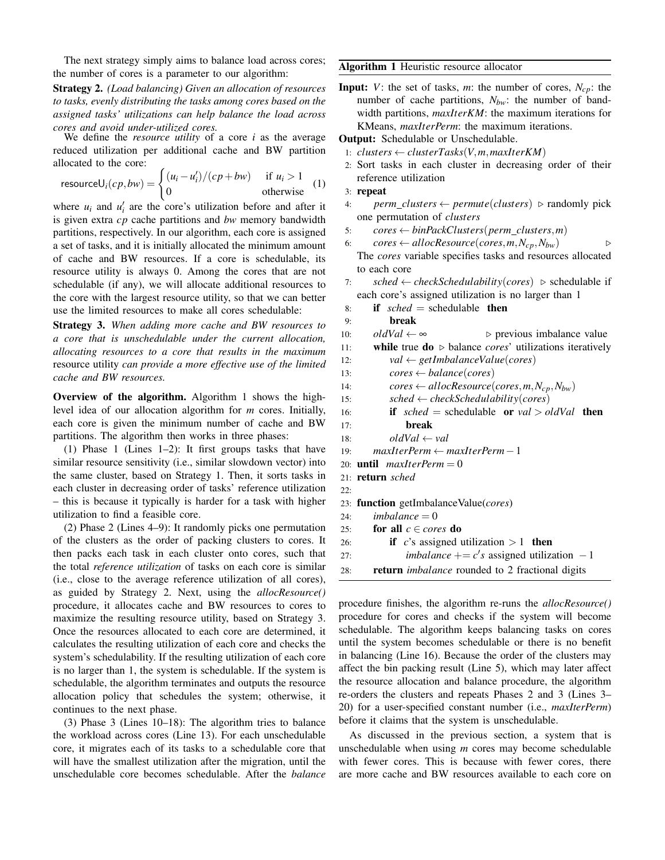The next strategy simply aims to balance load across cores; the number of cores is a parameter to our algorithm:

Strategy 2. *(Load balancing) Given an allocation of resources to tasks, evenly distributing the tasks among cores based on the assigned tasks' utilizations can help balance the load across cores and avoid under-utilized cores.*

We define the *resource utility* of a core *i* as the average reduced utilization per additional cache and BW partition allocated to the core:

resource
$$
U_i(cp, bw) = \begin{cases} (u_i - u'_i)/(cp + bw) & \text{if } u_i > 1 \\ 0 & \text{otherwise} \end{cases}
$$
 (1)

where  $u_i$  and  $u'_i$  are the core's utilization before and after it is given extra *cp* cache partitions and *bw* memory bandwidth partitions, respectively. In our algorithm, each core is assigned a set of tasks, and it is initially allocated the minimum amount of cache and BW resources. If a core is schedulable, its resource utility is always 0. Among the cores that are not schedulable (if any), we will allocate additional resources to the core with the largest resource utility, so that we can better use the limited resources to make all cores schedulable:

Strategy 3. *When adding more cache and BW resources to a core that is unschedulable under the current allocation, allocating resources to a core that results in the maximum* resource utility *can provide a more effective use of the limited cache and BW resources.*

Overview of the algorithm. Algorithm 1 shows the highlevel idea of our allocation algorithm for *m* cores. Initially, each core is given the minimum number of cache and BW partitions. The algorithm then works in three phases:

(1) Phase 1 (Lines 1–2): It first groups tasks that have similar resource sensitivity (i.e., similar slowdown vector) into the same cluster, based on Strategy 1. Then, it sorts tasks in each cluster in decreasing order of tasks' reference utilization – this is because it typically is harder for a task with higher utilization to find a feasible core.

(2) Phase 2 (Lines 4–9): It randomly picks one permutation of the clusters as the order of packing clusters to cores. It then packs each task in each cluster onto cores, such that the total *reference utilization* of tasks on each core is similar (i.e., close to the average reference utilization of all cores), as guided by Strategy 2. Next, using the *allocResource()* procedure, it allocates cache and BW resources to cores to maximize the resulting resource utility, based on Strategy 3. Once the resources allocated to each core are determined, it calculates the resulting utilization of each core and checks the system's schedulability. If the resulting utilization of each core is no larger than 1, the system is schedulable. If the system is schedulable, the algorithm terminates and outputs the resource allocation policy that schedules the system; otherwise, it continues to the next phase.

(3) Phase 3 (Lines 10–18): The algorithm tries to balance the workload across cores (Line 13). For each unschedulable core, it migrates each of its tasks to a schedulable core that will have the smallest utilization after the migration, until the unschedulable core becomes schedulable. After the *balance*

#### Algorithm 1 Heuristic resource allocator

**Input:** *V*: the set of tasks, *m*: the number of cores,  $N_{cn}$ : the number of cache partitions,  $N_{bw}$ : the number of bandwidth partitions, *maxIterKM*: the maximum iterations for KMeans, *maxIterPerm*: the maximum iterations.

Output: Schedulable or Unschedulable.

2: Sort tasks in each cluster in decreasing order of their reference utilization

```
3: repeat
```
- 4: *perm\_clusters* ← *permute*(*clusters*) ⊳ randomly pick one permutation of *clusters*
- 5:  $cores \leftarrow binPackClusters(perm_clusters,m)$
- 6:  $cores \leftarrow allocateResource(cores, m, N_{cp}, N_{bw})$   $\triangleright$ The *cores* variable specifies tasks and resources allocated to each core
- 7: *sched* ← *checkSchedulability*(*cores*)  $\triangleright$  schedulable if each core's assigned utilization is no larger than 1
- 8: if *sched* = schedulable then

```
9: break<br>10: oldVal \leftarrow \infty
```

```
10: oldVal \leftarrow \infty ⊳ previous imbalance value
```

```
11: while true do ⊲ balance cores' utilizations iteratively
```
- 12: *val* ← *getImbalanceValue*(*cores*)
- 13:  $cores \leftarrow balance(cores)$
- 14:  $cores \leftarrow allocateSource(cores, m, N_{cp}, N_{bw})$
- 15: *sched* ← *checkSchedulability*(*cores*)
- 16: if *sched* = schedulable or *val* > *oldVal* then
- 17: break
- 18:  $oldVal \leftarrow val$
- 19: *maxIterPerm* ← *maxIterPerm*−1
- 20: **until**  $maxIterPerm = 0$
- 21: return *sched*  $22.$
- 23: function getImbalanceValue(*cores*)
- $24:$  *imbalance*  $= 0$
- 25: **for all**  $c \in cores$  **do**
- 26: **if** *c*'s assigned utilization  $> 1$  then 27: *imbalance*  $+= c's$  assigned utilization  $-1$
- 28: return *imbalance* rounded to 2 fractional digits

procedure finishes, the algorithm re-runs the *allocResource()* procedure for cores and checks if the system will become schedulable. The algorithm keeps balancing tasks on cores until the system becomes schedulable or there is no benefit in balancing (Line 16). Because the order of the clusters may affect the bin packing result (Line 5), which may later affect the resource allocation and balance procedure, the algorithm re-orders the clusters and repeats Phases 2 and 3 (Lines 3– 20) for a user-specified constant number (i.e., *maxIterPerm*) before it claims that the system is unschedulable.

As discussed in the previous section, a system that is unschedulable when using *m* cores may become schedulable with fewer cores. This is because with fewer cores, there are more cache and BW resources available to each core on

<sup>1:</sup>  $clusters \leftarrow clusterTasks(V,m,maxIterKM)$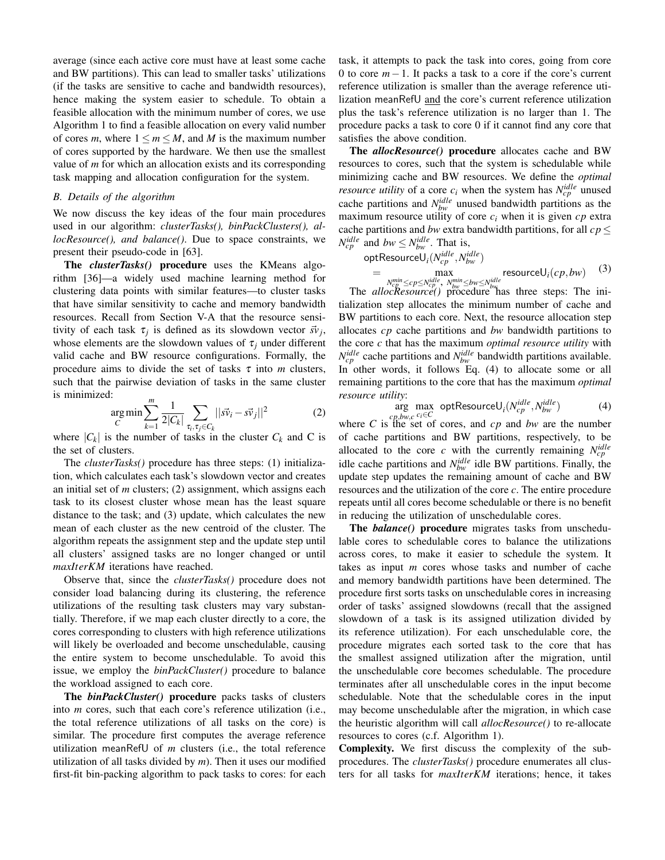average (since each active core must have at least some cache and BW partitions). This can lead to smaller tasks' utilizations (if the tasks are sensitive to cache and bandwidth resources), hence making the system easier to schedule. To obtain a feasible allocation with the minimum number of cores, we use Algorithm 1 to find a feasible allocation on every valid number of cores *m*, where  $1 \le m \le M$ , and *M* is the maximum number of cores supported by the hardware. We then use the smallest value of *m* for which an allocation exists and its corresponding task mapping and allocation configuration for the system.

#### *B. Details of the algorithm*

We now discuss the key ideas of the four main procedures used in our algorithm: *clusterTasks(), binPackClusters(), allocResource(), and balance()*. Due to space constraints, we present their pseudo-code in [63].

The *clusterTasks()* procedure uses the KMeans algorithm [36]—a widely used machine learning method for clustering data points with similar features—to cluster tasks that have similar sensitivity to cache and memory bandwidth resources. Recall from Section V-A that the resource sensitivity of each task  $\tau_j$  is defined as its slowdown vector  $\vec{s}v_j$ , whose elements are the slowdown values of  $\tau_i$  under different valid cache and BW resource configurations. Formally, the procedure aims to divide the set of tasks  $\tau$  into *m* clusters, such that the pairwise deviation of tasks in the same cluster is minimized:

$$
\underset{C}{\arg\min} \sum_{k=1}^{m} \frac{1}{2|C_k|} \sum_{\tau_i, \tau_j \in C_k} ||\vec{sv}_i - \vec{sv}_j||^2
$$
 (2)

where  $|C_k|$  is the number of tasks in the cluster  $C_k$  and C is the set of clusters.

The *clusterTasks()* procedure has three steps: (1) initialization, which calculates each task's slowdown vector and creates an initial set of *m* clusters; (2) assignment, which assigns each task to its closest cluster whose mean has the least square distance to the task; and (3) update, which calculates the new mean of each cluster as the new centroid of the cluster. The algorithm repeats the assignment step and the update step until all clusters' assigned tasks are no longer changed or until *maxIterKM* iterations have reached.

Observe that, since the *clusterTasks()* procedure does not consider load balancing during its clustering, the reference utilizations of the resulting task clusters may vary substantially. Therefore, if we map each cluster directly to a core, the cores corresponding to clusters with high reference utilizations will likely be overloaded and become unschedulable, causing the entire system to become unschedulable. To avoid this issue, we employ the *binPackCluster()* procedure to balance the workload assigned to each core.

The *binPackCluster()* procedure packs tasks of clusters into *m* cores, such that each core's reference utilization (i.e., the total reference utilizations of all tasks on the core) is similar. The procedure first computes the average reference utilization meanRefU of *m* clusters (i.e., the total reference utilization of all tasks divided by *m*). Then it uses our modified first-fit bin-packing algorithm to pack tasks to cores: for each task, it attempts to pack the task into cores, going from core 0 to core *m*−1. It packs a task to a core if the core's current reference utilization is smaller than the average reference utilization meanRefU and the core's current reference utilization plus the task's reference utilization is no larger than 1. The procedure packs a task to core 0 if it cannot find any core that satisfies the above condition.

The *allocResource()* procedure allocates cache and BW resources to cores, such that the system is schedulable while minimizing cache and BW resources. We define the *optimal resource utility* of a core  $c_i$  when the system has  $N_{cp}^{idle}$  unused cache partitions and  $N_{bw}^{idle}$  unused bandwidth partitions as the maximum resource utility of core  $c_i$  when it is given  $cp$  extra cache partitions and *bw* extra bandwidth partitions, for all *cp* ≤  $N_{cp}^{idle}$  and  $bw \leq N_{bw}^{idle}$ . That is,

optResourceU<sub>i</sub>(
$$
N_{cp}^{idle}, N_{bw}^{idle}
$$
)  
=  $\max_{N_{cp}^{min} \leq cp \leq N_{cp}^{idle}}$ ,  $N_{bw}^{min} \leq bw \leq N_{bw}^{idle}$  (3)

*N*<sup>nin</sup></sub> ≤*cp*≤*N*<sub>*kw*</sub></sub>  $\leq$ *cp*<sup>*kw*</sup>, *N<sub>hw</sub>* ≤*bw* ≤*N*<sub>*idle</sub>*  $\leq$ *n*  $\leq$ *n*  $\leq$ *n*  $\leq$ *n*  $\leq$ *n*  $\leq$ *n*  $\leq$ *n*  $\leq$ *n*  $\leq$ *n*  $\leq$ *n*  $\leq$ *n*  $\leq$ *n*  $\leq$ *n*  $\leq$ *n*  $\leq$ *n*  $\leq$ *n*  $\leq$ *</sub>* tialization step allocates the minimum number of cache and BW partitions to each core. Next, the resource allocation step allocates *cp* cache partitions and *bw* bandwidth partitions to the core *c* that has the maximum *optimal resource utility* with  $N_{cp}^{idle}$  cache partitions and  $N_{bw}^{idle}$  bandwidth partitions available. In other words, it follows Eq. (4) to allocate some or all remaining partitions to the core that has the maximum *optimal resource utility*:

$$
\arg\max_{cp, bw, c} \text{ optResourceU}_i(N_{cp}^{idle}, N_{bw}^{idle})
$$
\n(4)

where *C* is the set of cores, and *cp* and *bw* are the number of cache partitions and BW partitions, respectively, to be allocated to the core *c* with the currently remaining  $N_{cp}^{idle}$ idle cache partitions and  $N_{bw}^{idle}$  idle BW partitions. Finally, the update step updates the remaining amount of cache and BW resources and the utilization of the core *c*. The entire procedure repeats until all cores become schedulable or there is no benefit in reducing the utilization of unschedulable cores.

The *balance()* procedure migrates tasks from unschedulable cores to schedulable cores to balance the utilizations across cores, to make it easier to schedule the system. It takes as input *m* cores whose tasks and number of cache and memory bandwidth partitions have been determined. The procedure first sorts tasks on unschedulable cores in increasing order of tasks' assigned slowdowns (recall that the assigned slowdown of a task is its assigned utilization divided by its reference utilization). For each unschedulable core, the procedure migrates each sorted task to the core that has the smallest assigned utilization after the migration, until the unschedulable core becomes schedulable. The procedure terminates after all unschedulable cores in the input become schedulable. Note that the schedulable cores in the input may become unschedulable after the migration, in which case the heuristic algorithm will call *allocResource()* to re-allocate resources to cores (c.f. Algorithm 1).

Complexity. We first discuss the complexity of the subprocedures. The *clusterTasks()* procedure enumerates all clusters for all tasks for *maxIterKM* iterations; hence, it takes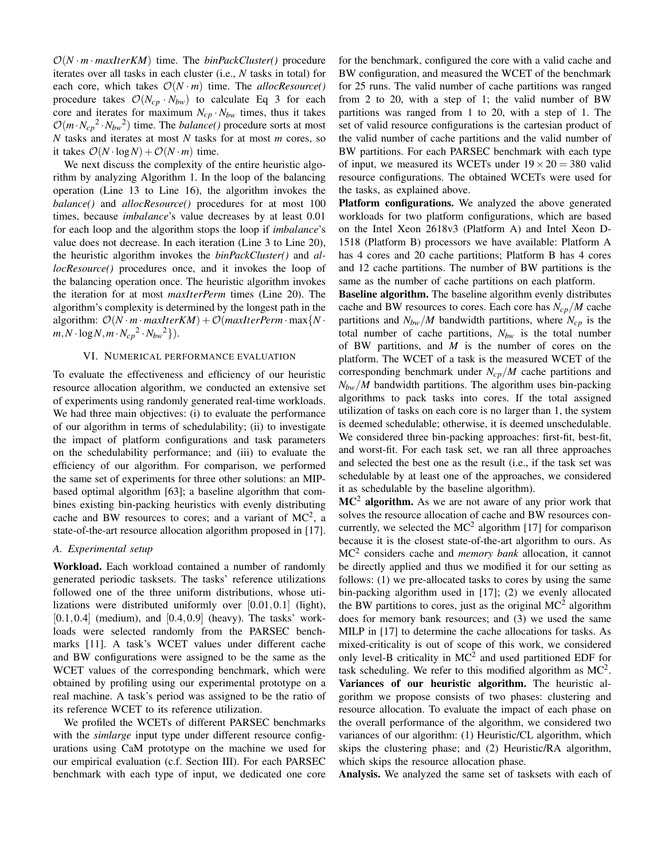$O(N \cdot m \cdot \text{maxIterKM})$  time. The *binPackCluster()* procedure iterates over all tasks in each cluster (i.e., *N* tasks in total) for each core, which takes  $O(N \cdot m)$  time. The *allocResource*() procedure takes  $\mathcal{O}(N_{cp} \cdot N_{bw})$  to calculate Eq 3 for each core and iterates for maximum  $N_{cp} \cdot N_{bw}$  times, thus it takes  $\mathcal{O}(m \cdot N_{cp}^2 \cdot N_{bw}^2)$  time. The *balance*() procedure sorts at most *N* tasks and iterates at most *N* tasks for at most *m* cores, so it takes  $\mathcal{O}(N \cdot \log N) + \mathcal{O}(N \cdot m)$  time.

We next discuss the complexity of the entire heuristic algorithm by analyzing Algorithm 1. In the loop of the balancing operation (Line 13 to Line 16), the algorithm invokes the *balance()* and *allocResource()* procedures for at most 100 times, because *imbalance*'s value decreases by at least 0.01 for each loop and the algorithm stops the loop if *imbalance*'s value does not decrease. In each iteration (Line 3 to Line 20), the heuristic algorithm invokes the *binPackCluster()* and *allocResource()* procedures once, and it invokes the loop of the balancing operation once. The heuristic algorithm invokes the iteration for at most *maxIterPerm* times (Line 20). The algorithm's complexity is determined by the longest path in the algorithm:  $\mathcal{O}(N \cdot m \cdot \text{maxIterKM}) + \mathcal{O}(\text{maxIterPerm} \cdot \text{max}\{N \cdot \text{max}[N \cdot \text{max}[N \cdot \text{max}[N \cdot \text{max}[N \cdot \text{max}[N \cdot \text{max}[N \cdot \text{max}[N \cdot \text{max}[N \cdot \text{max}[N \cdot \text{max}[N \cdot \text{max}[N \cdot \text{max}[N \cdot \text{max}[N \cdot \text{max}[N \cdot \text{max}[N \cdot \text{max}[N \cdot \text{max}[N \cdot \text{max}[N \cdot \text{max}[N \cdot \text{max}[N \cdot \text{max}[$  $m, N \cdot \log N, m \cdot N_{cp}^2 \cdot N_{bw}^2$ .

#### VI. NUMERICAL PERFORMANCE EVALUATION

To evaluate the effectiveness and efficiency of our heuristic resource allocation algorithm, we conducted an extensive set of experiments using randomly generated real-time workloads. We had three main objectives: (i) to evaluate the performance of our algorithm in terms of schedulability; (ii) to investigate the impact of platform configurations and task parameters on the schedulability performance; and (iii) to evaluate the efficiency of our algorithm. For comparison, we performed the same set of experiments for three other solutions: an MIPbased optimal algorithm [63]; a baseline algorithm that combines existing bin-packing heuristics with evenly distributing cache and BW resources to cores; and a variant of  $MC^2$ , a state-of-the-art resource allocation algorithm proposed in [17].

#### *A. Experimental setup*

Workload. Each workload contained a number of randomly generated periodic tasksets. The tasks' reference utilizations followed one of the three uniform distributions, whose utilizations were distributed uniformly over [0.01,0.1] (light),  $[0.1, 0.4]$  (medium), and  $[0.4, 0.9]$  (heavy). The tasks' workloads were selected randomly from the PARSEC benchmarks [11]. A task's WCET values under different cache and BW configurations were assigned to be the same as the WCET values of the corresponding benchmark, which were obtained by profiling using our experimental prototype on a real machine. A task's period was assigned to be the ratio of its reference WCET to its reference utilization.

We profiled the WCETs of different PARSEC benchmarks with the *simlarge* input type under different resource configurations using CaM prototype on the machine we used for our empirical evaluation (c.f. Section III). For each PARSEC benchmark with each type of input, we dedicated one core

for the benchmark, configured the core with a valid cache and BW configuration, and measured the WCET of the benchmark for 25 runs. The valid number of cache partitions was ranged from 2 to 20, with a step of 1; the valid number of BW partitions was ranged from 1 to 20, with a step of 1. The set of valid resource configurations is the cartesian product of the valid number of cache partitions and the valid number of BW partitions. For each PARSEC benchmark with each type of input, we measured its WCETs under  $19 \times 20 = 380$  valid resource configurations. The obtained WCETs were used for the tasks, as explained above.

Platform configurations. We analyzed the above generated workloads for two platform configurations, which are based on the Intel Xeon 2618v3 (Platform A) and Intel Xeon D-1518 (Platform B) processors we have available: Platform A has 4 cores and 20 cache partitions; Platform B has 4 cores and 12 cache partitions. The number of BW partitions is the same as the number of cache partitions on each platform.

Baseline algorithm. The baseline algorithm evenly distributes cache and BW resources to cores. Each core has *Ncp*/*M* cache partitions and  $N_{bw}/M$  bandwidth partitions, where  $N_{cp}$  is the total number of cache partitions, *Nbw* is the total number of BW partitions, and *M* is the number of cores on the platform. The WCET of a task is the measured WCET of the corresponding benchmark under *Ncp*/*M* cache partitions and  $N_{bw}/M$  bandwidth partitions. The algorithm uses bin-packing algorithms to pack tasks into cores. If the total assigned utilization of tasks on each core is no larger than 1, the system is deemed schedulable; otherwise, it is deemed unschedulable. We considered three bin-packing approaches: first-fit, best-fit, and worst-fit. For each task set, we ran all three approaches and selected the best one as the result (i.e., if the task set was schedulable by at least one of the approaches, we considered it as schedulable by the baseline algorithm).

 $MC<sup>2</sup>$  algorithm. As we are not aware of any prior work that solves the resource allocation of cache and BW resources concurrently, we selected the  $MC^2$  algorithm [17] for comparison because it is the closest state-of-the-art algorithm to ours. As MC<sup>2</sup> considers cache and *memory bank* allocation, it cannot be directly applied and thus we modified it for our setting as follows: (1) we pre-allocated tasks to cores by using the same bin-packing algorithm used in [17]; (2) we evenly allocated the BW partitions to cores, just as the original  $MC^2$  algorithm does for memory bank resources; and (3) we used the same MILP in [17] to determine the cache allocations for tasks. As mixed-criticality is out of scope of this work, we considered only level-B criticality in  $MC^2$  and used partitioned EDF for task scheduling. We refer to this modified algorithm as  $MC<sup>2</sup>$ . Variances of our heuristic algorithm. The heuristic algorithm we propose consists of two phases: clustering and resource allocation. To evaluate the impact of each phase on the overall performance of the algorithm, we considered two variances of our algorithm: (1) Heuristic/CL algorithm, which skips the clustering phase; and (2) Heuristic/RA algorithm, which skips the resource allocation phase.

Analysis. We analyzed the same set of tasksets with each of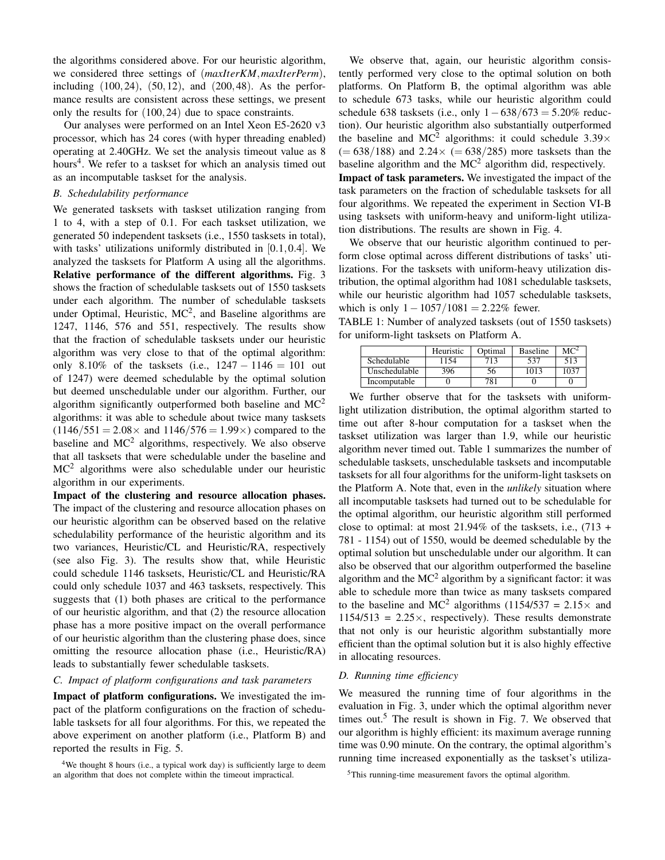the algorithms considered above. For our heuristic algorithm, we considered three settings of (*maxIterKM*,*maxIterPerm*), including  $(100, 24)$ ,  $(50, 12)$ , and  $(200, 48)$ . As the performance results are consistent across these settings, we present only the results for (100,24) due to space constraints.

Our analyses were performed on an Intel Xeon E5-2620 v3 processor, which has 24 cores (with hyper threading enabled) operating at 2.40GHz. We set the analysis timeout value as 8 hours<sup>4</sup>. We refer to a taskset for which an analysis timed out as an incomputable taskset for the analysis.

#### *B. Schedulability performance*

We generated tasksets with taskset utilization ranging from 1 to 4, with a step of 0.1. For each taskset utilization, we generated 50 independent tasksets (i.e., 1550 tasksets in total), with tasks' utilizations uniformly distributed in [0.1,0.4]. We analyzed the tasksets for Platform A using all the algorithms. Relative performance of the different algorithms. Fig. 3 shows the fraction of schedulable tasksets out of 1550 tasksets under each algorithm. The number of schedulable tasksets under Optimal, Heuristic,  $MC^2$ , and Baseline algorithms are 1247, 1146, 576 and 551, respectively. The results show that the fraction of schedulable tasksets under our heuristic algorithm was very close to that of the optimal algorithm: only 8.10% of the tasksets (i.e.,  $1247 - 1146 = 101$  out of 1247) were deemed schedulable by the optimal solution but deemed unschedulable under our algorithm. Further, our algorithm significantly outperformed both baseline and  $MC^2$ algorithms: it was able to schedule about twice many tasksets  $(1146/551 = 2.08 \times$  and  $1146/576 = 1.99 \times$ ) compared to the baseline and  $MC^2$  algorithms, respectively. We also observe that all tasksets that were schedulable under the baseline and  $MC<sup>2</sup>$  algorithms were also schedulable under our heuristic algorithm in our experiments.

Impact of the clustering and resource allocation phases. The impact of the clustering and resource allocation phases on our heuristic algorithm can be observed based on the relative schedulability performance of the heuristic algorithm and its two variances, Heuristic/CL and Heuristic/RA, respectively (see also Fig. 3). The results show that, while Heuristic could schedule 1146 tasksets, Heuristic/CL and Heuristic/RA could only schedule 1037 and 463 tasksets, respectively. This suggests that (1) both phases are critical to the performance of our heuristic algorithm, and that (2) the resource allocation phase has a more positive impact on the overall performance of our heuristic algorithm than the clustering phase does, since omitting the resource allocation phase (i.e., Heuristic/RA) leads to substantially fewer schedulable tasksets.

#### *C. Impact of platform configurations and task parameters*

Impact of platform configurations. We investigated the impact of the platform configurations on the fraction of schedulable tasksets for all four algorithms. For this, we repeated the above experiment on another platform (i.e., Platform B) and reported the results in Fig. 5.

We observe that, again, our heuristic algorithm consistently performed very close to the optimal solution on both platforms. On Platform B, the optimal algorithm was able to schedule 673 tasks, while our heuristic algorithm could schedule 638 tasksets (i.e., only  $1-638/673 = 5.20\%$  reduction). Our heuristic algorithm also substantially outperformed the baseline and MC<sup>2</sup> algorithms: it could schedule  $3.39\times$  $(= 638/188)$  and  $2.24 \times (= 638/285)$  more tasksets than the baseline algorithm and the  $MC^2$  algorithm did, respectively. Impact of task parameters. We investigated the impact of the task parameters on the fraction of schedulable tasksets for all four algorithms. We repeated the experiment in Section VI-B using tasksets with uniform-heavy and uniform-light utilization distributions. The results are shown in Fig. 4.

We observe that our heuristic algorithm continued to perform close optimal across different distributions of tasks' utilizations. For the tasksets with uniform-heavy utilization distribution, the optimal algorithm had 1081 schedulable tasksets, while our heuristic algorithm had 1057 schedulable tasksets, which is only  $1 - 1057/1081 = 2.22\%$  fewer.

TABLE 1: Number of analyzed tasksets (out of 1550 tasksets) for uniform-light tasksets on Platform A.

|                    | Heuristic | Optimal | <b>Baseline</b> | $MC^2$ |
|--------------------|-----------|---------|-----------------|--------|
| <b>Schedulable</b> | 154       | 713     | 537             | 513    |
| Unschedulable      | 396       | 56.     | 1013            | 1037   |
| Incomputable       |           |         |                 |        |

We further observe that for the tasksets with uniformlight utilization distribution, the optimal algorithm started to time out after 8-hour computation for a taskset when the taskset utilization was larger than 1.9, while our heuristic algorithm never timed out. Table 1 summarizes the number of schedulable tasksets, unschedulable tasksets and incomputable tasksets for all four algorithms for the uniform-light tasksets on the Platform A. Note that, even in the *unlikely* situation where all incomputable tasksets had turned out to be schedulable for the optimal algorithm, our heuristic algorithm still performed close to optimal: at most  $21.94\%$  of the tasksets, i.e.,  $(713 +$ 781 - 1154) out of 1550, would be deemed schedulable by the optimal solution but unschedulable under our algorithm. It can also be observed that our algorithm outperformed the baseline algorithm and the  $MC^2$  algorithm by a significant factor: it was able to schedule more than twice as many tasksets compared to the baseline and MC<sup>2</sup> algorithms (1154/537 = 2.15 $\times$  and  $1154/513 = 2.25 \times$ , respectively). These results demonstrate that not only is our heuristic algorithm substantially more efficient than the optimal solution but it is also highly effective in allocating resources.

#### *D. Running time efficiency*

We measured the running time of four algorithms in the evaluation in Fig. 3, under which the optimal algorithm never times out.<sup>5</sup> The result is shown in Fig. 7. We observed that our algorithm is highly efficient: its maximum average running time was 0.90 minute. On the contrary, the optimal algorithm's running time increased exponentially as the taskset's utiliza-

 $4$ We thought 8 hours (i.e., a typical work day) is sufficiently large to deem an algorithm that does not complete within the timeout impractical.

<sup>5</sup>This running-time measurement favors the optimal algorithm.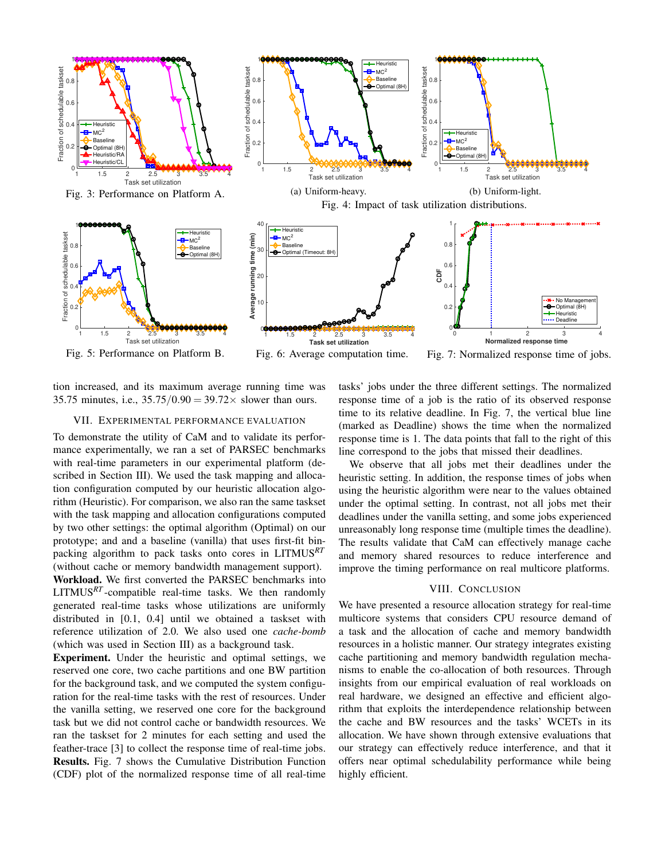

tion increased, and its maximum average running time was 35.75 minutes, i.e.,  $35.75/0.90 = 39.72 \times$  slower than ours.

#### VII. EXPERIMENTAL PERFORMANCE EVALUATION

To demonstrate the utility of CaM and to validate its performance experimentally, we ran a set of PARSEC benchmarks with real-time parameters in our experimental platform (described in Section III). We used the task mapping and allocation configuration computed by our heuristic allocation algorithm (Heuristic). For comparison, we also ran the same taskset with the task mapping and allocation configurations computed by two other settings: the optimal algorithm (Optimal) on our prototype; and and a baseline (vanilla) that uses first-fit binpacking algorithm to pack tasks onto cores in LITMUS*RT* (without cache or memory bandwidth management support). Workload. We first converted the PARSEC benchmarks into LITMUS*RT* -compatible real-time tasks. We then randomly generated real-time tasks whose utilizations are uniformly distributed in [0.1, 0.4] until we obtained a taskset with reference utilization of 2.0. We also used one *cache-bomb* (which was used in Section III) as a background task.

Experiment. Under the heuristic and optimal settings, we reserved one core, two cache partitions and one BW partition for the background task, and we computed the system configuration for the real-time tasks with the rest of resources. Under the vanilla setting, we reserved one core for the background task but we did not control cache or bandwidth resources. We ran the taskset for 2 minutes for each setting and used the feather-trace [3] to collect the response time of real-time jobs. Results. Fig. 7 shows the Cumulative Distribution Function (CDF) plot of the normalized response time of all real-time tasks' jobs under the three different settings. The normalized response time of a job is the ratio of its observed response time to its relative deadline. In Fig. 7, the vertical blue line (marked as Deadline) shows the time when the normalized response time is 1. The data points that fall to the right of this line correspond to the jobs that missed their deadlines.

We observe that all jobs met their deadlines under the heuristic setting. In addition, the response times of jobs when using the heuristic algorithm were near to the values obtained under the optimal setting. In contrast, not all jobs met their deadlines under the vanilla setting, and some jobs experienced unreasonably long response time (multiple times the deadline). The results validate that CaM can effectively manage cache and memory shared resources to reduce interference and improve the timing performance on real multicore platforms.

#### VIII. CONCLUSION

We have presented a resource allocation strategy for real-time multicore systems that considers CPU resource demand of a task and the allocation of cache and memory bandwidth resources in a holistic manner. Our strategy integrates existing cache partitioning and memory bandwidth regulation mechanisms to enable the co-allocation of both resources. Through insights from our empirical evaluation of real workloads on real hardware, we designed an effective and efficient algorithm that exploits the interdependence relationship between the cache and BW resources and the tasks' WCETs in its allocation. We have shown through extensive evaluations that our strategy can effectively reduce interference, and that it offers near optimal schedulability performance while being highly efficient.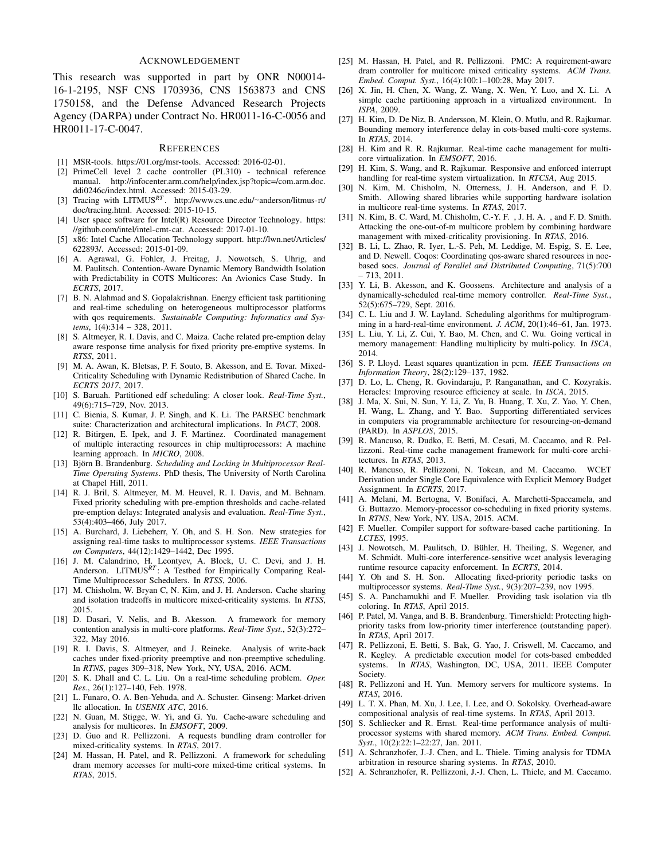#### ACKNOWLEDGEMENT

This research was supported in part by ONR N00014- 16-1-2195, NSF CNS 1703936, CNS 1563873 and CNS 1750158, and the Defense Advanced Research Projects Agency (DARPA) under Contract No. HR0011-16-C-0056 and HR0011-17-C-0047.

#### **REFERENCES**

- [1] MSR-tools. https://01.org/msr-tools. Accessed: 2016-02-01.
- [2] PrimeCell level 2 cache controller (PL310) technical reference manual. http://infocenter.arm.com/help/index.jsp?topic=/com.arm.doc. ddi0246c/index.html. Accessed: 2015-03-29. [3] Tracing with LITMUS*RT* . http://www.cs.unc.edu/∼anderson/litmus-rt/
- doc/tracing.html. Accessed: 2015-10-15.
- [4] User space software for Intel(R) Resource Director Technology. https: //github.com/intel/intel-cmt-cat. Accessed: 2017-01-10.
- [5] x86: Intel Cache Allocation Technology support. http://lwn.net/Articles/ 622893/. Accessed: 2015-01-09.
- [6] A. Agrawal, G. Fohler, J. Freitag, J. Nowotsch, S. Uhrig, and M. Paulitsch. Contention-Aware Dynamic Memory Bandwidth Isolation with Predictability in COTS Multicores: An Avionics Case Study. In *ECRTS*, 2017.
- [7] B. N. Alahmad and S. Gopalakrishnan. Energy efficient task partitioning and real-time scheduling on heterogeneous multiprocessor platforms with qos requirements. *Sustainable Computing: Informatics and Systems*, 1(4):314 – 328, 2011.
- [8] S. Altmeyer, R. I. Davis, and C. Maiza. Cache related pre-emption delay aware response time analysis for fixed priority pre-emptive systems. In *RTSS*, 2011.
- [9] M. A. Awan, K. Bletsas, P. F. Souto, B. Akesson, and E. Tovar. Mixed-Criticality Scheduling with Dynamic Redistribution of Shared Cache. In *ECRTS 2017*, 2017.
- [10] S. Baruah. Partitioned edf scheduling: A closer look. *Real-Time Syst.*, 49(6):715–729, Nov. 2013.
- [11] C. Bienia, S. Kumar, J. P. Singh, and K. Li. The PARSEC benchmark suite: Characterization and architectural implications. In *PACT*, 2008.
- [12] R. Bitirgen, E. Ipek, and J. F. Martinez. Coordinated management of multiple interacting resources in chip multiprocessors: A machine learning approach. In *MICRO*, 2008.
- [13] Björn B. Brandenburg. Scheduling and Locking in Multiprocessor Real-*Time Operating Systems*. PhD thesis, The University of North Carolina at Chapel Hill, 2011.
- [14] R. J. Bril, S. Altmeyer, M. M. Heuvel, R. I. Davis, and M. Behnam. Fixed priority scheduling with pre-emption thresholds and cache-related pre-emption delays: Integrated analysis and evaluation. *Real-Time Syst.*, 53(4):403–466, July 2017.
- [15] A. Burchard, J. Liebeherr, Y. Oh, and S. H. Son. New strategies for assigning real-time tasks to multiprocessor systems. *IEEE Transactions on Computers*, 44(12):1429–1442, Dec 1995.
- [16] J. M. Calandrino, H. Leontyev, A. Block, U. C. Devi, and J. H. Anderson. LITMUS*RT* : A Testbed for Empirically Comparing Real-Time Multiprocessor Schedulers. In *RTSS*, 2006.
- [17] M. Chisholm, W. Bryan C, N. Kim, and J. H. Anderson. Cache sharing and isolation tradeoffs in multicore mixed-criticality systems. In *RTSS*, 2015.
- [18] D. Dasari, V. Nelis, and B. Akesson. A framework for memory contention analysis in multi-core platforms. *Real-Time Syst.*, 52(3):272– 322, May 2016.
- [19] R. I. Davis, S. Altmeyer, and J. Reineke. Analysis of write-back caches under fixed-priority preemptive and non-preemptive scheduling. In *RTNS*, pages 309–318, New York, NY, USA, 2016. ACM.
- [20] S. K. Dhall and C. L. Liu. On a real-time scheduling problem. *Oper. Res.*, 26(1):127–140, Feb. 1978.
- [21] L. Funaro, O. A. Ben-Yehuda, and A. Schuster. Ginseng: Market-driven llc allocation. In *USENIX ATC*, 2016.
- [22] N. Guan, M. Stigge, W. Yi, and G. Yu. Cache-aware scheduling and analysis for multicores. In *EMSOFT*, 2009.
- [23] D. Guo and R. Pellizzoni. A requests bundling dram controller for mixed-criticality systems. In *RTAS*, 2017.
- [24] M. Hassan, H. Patel, and R. Pellizzoni. A framework for scheduling dram memory accesses for multi-core mixed-time critical systems. In *RTAS*, 2015.
- [25] M. Hassan, H. Patel, and R. Pellizzoni. PMC: A requirement-aware dram controller for multicore mixed criticality systems. *ACM Trans. Embed. Comput. Syst.*, 16(4):100:1–100:28, May 2017.
- [26] X. Jin, H. Chen, X. Wang, Z. Wang, X. Wen, Y. Luo, and X. Li. A simple cache partitioning approach in a virtualized environment. In *ISPA*, 2009.
- [27] H. Kim, D. De Niz, B. Andersson, M. Klein, O. Mutlu, and R. Rajkumar. Bounding memory interference delay in cots-based multi-core systems. In *RTAS*, 2014.
- [28] H. Kim and R. R. Rajkumar. Real-time cache management for multicore virtualization. In *EMSOFT*, 2016.
- [29] H. Kim, S. Wang, and R. Rajkumar. Responsive and enforced interrupt handling for real-time system virtualization. In *RTCSA*, Aug 2015.
- [30] N. Kim, M. Chisholm, N. Otterness, J. H. Anderson, and F. D. Smith. Allowing shared libraries while supporting hardware isolation in multicore real-time systems. In *RTAS*, 2017.
- [31] N. Kim, B. C. Ward, M. Chisholm, C.-Y. F., J. H. A., and F. D. Smith. Attacking the one-out-of-m multicore problem by combining hardware management with mixed-criticality provisioning. In *RTAS*, 2016.
- [32] B. Li, L. Zhao, R. Iyer, L.-S. Peh, M. Leddige, M. Espig, S. E. Lee, and D. Newell. Coqos: Coordinating qos-aware shared resources in nocbased socs. *Journal of Parallel and Distributed Computing*, 71(5):700 – 713, 2011.
- [33] Y. Li, B. Akesson, and K. Goossens. Architecture and analysis of a dynamically-scheduled real-time memory controller. *Real-Time Syst.*, 52(5):675–729, Sept. 2016.
- [34] C. L. Liu and J. W. Layland. Scheduling algorithms for multiprogramming in a hard-real-time environment. *J. ACM*, 20(1):46–61, Jan. 1973.
- [35] L. Liu, Y. Li, Z. Cui, Y. Bao, M. Chen, and C. Wu. Going vertical in memory management: Handling multiplicity by multi-policy. In *ISCA*, 2014.
- [36] S. P. Lloyd. Least squares quantization in pcm. *IEEE Transactions on Information Theory*, 28(2):129–137, 1982.
- [37] D. Lo, L. Cheng, R. Govindaraju, P. Ranganathan, and C. Kozyrakis. Heracles: Improving resource efficiency at scale. In *ISCA*, 2015.
- [38] J. Ma, X. Sui, N. Sun, Y. Li, Z. Yu, B. Huang, T. Xu, Z. Yao, Y. Chen, H. Wang, L. Zhang, and Y. Bao. Supporting differentiated services in computers via programmable architecture for resourcing-on-demand (PARD). In *ASPLOS*, 2015.
- [39] R. Mancuso, R. Dudko, E. Betti, M. Cesati, M. Caccamo, and R. Pellizzoni. Real-time cache management framework for multi-core architectures. In *RTAS*, 2013.
- [40] R. Mancuso, R. Pellizzoni, N. Tokcan, and M. Caccamo. WCET Derivation under Single Core Equivalence with Explicit Memory Budget Assignment. In *ECRTS*, 2017.
- [41] A. Melani, M. Bertogna, V. Bonifaci, A. Marchetti-Spaccamela, and G. Buttazzo. Memory-processor co-scheduling in fixed priority systems. In *RTNS*, New York, NY, USA, 2015. ACM.
- [42] F. Mueller. Compiler support for software-based cache partitioning. In *LCTES*, 1995.
- [43] J. Nowotsch, M. Paulitsch, D. Bühler, H. Theiling, S. Wegener, and M. Schmidt. Multi-core interference-sensitive wcet analysis leveraging runtime resource capacity enforcement. In *ECRTS*, 2014.
- [44] Y. Oh and S. H. Son. Allocating fixed-priority periodic tasks on multiprocessor systems. *Real-Time Syst.*, 9(3):207–239, nov 1995.
- [45] S. A. Panchamukhi and F. Mueller. Providing task isolation via tlb coloring. In *RTAS*, April 2015.
- [46] P. Patel, M. Vanga, and B. B. Brandenburg. Timershield: Protecting highpriority tasks from low-priority timer interference (outstanding paper). In *RTAS*, April 2017.
- [47] R. Pellizzoni, E. Betti, S. Bak, G. Yao, J. Criswell, M. Caccamo, and R. Kegley. A predictable execution model for cots-based embedded systems. In *RTAS*, Washington, DC, USA, 2011. IEEE Computer Society.
- [48] R. Pellizzoni and H. Yun. Memory servers for multicore systems. In *RTAS*, 2016.
- [49] L. T. X. Phan, M. Xu, J. Lee, I. Lee, and O. Sokolsky. Overhead-aware compositional analysis of real-time systems. In *RTAS*, April 2013.
- [50] S. Schliecker and R. Ernst. Real-time performance analysis of multiprocessor systems with shared memory. *ACM Trans. Embed. Comput. Syst.*, 10(2):22:1–22:27, Jan. 2011.
- [51] A. Schranzhofer, J.-J. Chen, and L. Thiele. Timing analysis for TDMA arbitration in resource sharing systems. In *RTAS*, 2010.
- [52] A. Schranzhofer, R. Pellizzoni, J.-J. Chen, L. Thiele, and M. Caccamo.